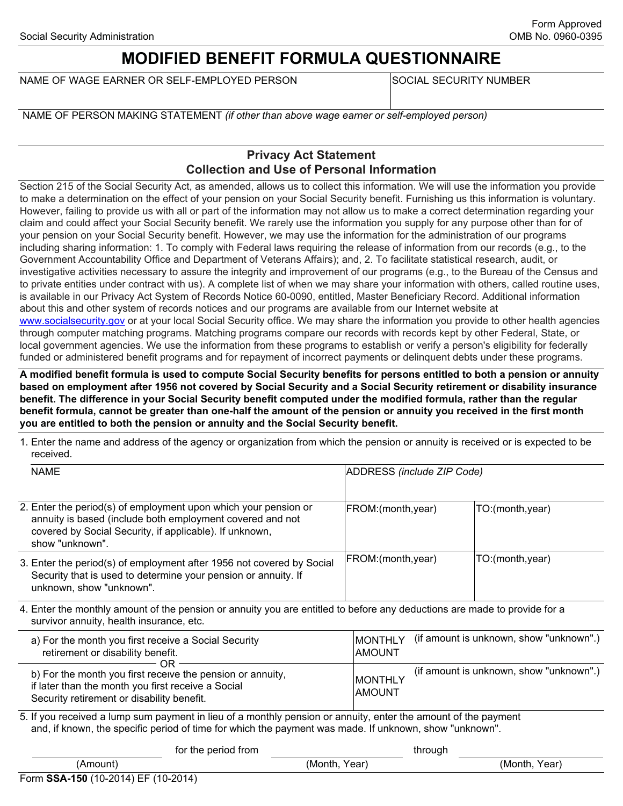## **MODIFIED BENEFIT FORMULA QUESTIONNAIRE**

NAME OF WAGE EARNER OR SELF-EMPLOYED PERSON

SOCIAL SECURITY NUMBER

NAME OF PERSON MAKING STATEMENT *(if other than above wage earner or self-employed person)* 

## **Privacy Act Statement Collection and Use of Personal Information**

Section 215 of the Social Security Act, as amended, allows us to collect this information. We will use the information you provide to make a determination on the effect of your pension on your Social Security benefit. Furnishing us this information is voluntary. However, failing to provide us with all or part of the information may not allow us to make a correct determination regarding your claim and could affect your Social Security benefit. We rarely use the information you supply for any purpose other than for of your pension on your Social Security benefit. However, we may use the information for the administration of our programs including sharing information: 1. To comply with Federal laws requiring the release of information from our records (e.g., to the Government Accountability Office and Department of Veterans Affairs); and, 2. To facilitate statistical research, audit, or investigative activities necessary to assure the integrity and improvement of our programs (e.g., to the Bureau of the Census and to private entities under contract with us). A complete list of when we may share your information with others, called routine uses, is available in our Privacy Act System of Records Notice 60-0090, entitled, Master Beneficiary Record. Additional information about this and other system of records notices and our programs are available from our Internet website at <www.socialsecurity.gov> or at your local Social Security office. We may share the information you provide to other health agencies through computer matching programs. Matching programs compare our records with records kept by other Federal, State, or local government agencies. We use the information from these programs to establish or verify a person's eligibility for federally funded or administered benefit programs and for repayment of incorrect payments or delinquent debts under these programs.

**A modified benefit formula is used to compute Social Security benefits for persons entitled to both a pension or annuity based on employment after 1956 not covered by Social Security and a Social Security retirement or disability insurance benefit. The difference in your Social Security benefit computed under the modified formula, rather than the regular benefit formula, cannot be greater than one-half the amount of the pension or annuity you received in the first month you are entitled to both the pension or annuity and the Social Security benefit.** 

|           |  | 1. Enter the name and address of the agency or organization from which the pension or annuity is received or is expected to be |  |
|-----------|--|--------------------------------------------------------------------------------------------------------------------------------|--|
| received. |  |                                                                                                                                |  |

| <b>NAME</b>                                                                                                                                                                                                              | ADDRESS (include ZIP Code)      |                                                                                    |  |
|--------------------------------------------------------------------------------------------------------------------------------------------------------------------------------------------------------------------------|---------------------------------|------------------------------------------------------------------------------------|--|
| 2. Enter the period(s) of employment upon which your pension or<br>annuity is based (include both employment covered and not<br>covered by Social Security, if applicable). If unknown,<br>show "unknown".               | FROM:(month,year)               | TO:(month,year)                                                                    |  |
| 3. Enter the period(s) of employment after 1956 not covered by Social<br>Security that is used to determine your pension or annuity. If<br>unknown, show "unknown".                                                      | FROM: (month, year)             | TO:(month,year)                                                                    |  |
| 4. Enter the monthly amount of the pension or annuity you are entitled to before any deductions are made to provide for a<br>survivor annuity, health insurance, etc.                                                    |                                 |                                                                                    |  |
| a) For the month you first receive a Social Security<br>retirement or disability benefit.                                                                                                                                | <b>MONTHLY</b><br><b>AMOUNT</b> | (if amount is unknown, show "unknown".)<br>(if amount is unknown, show "unknown".) |  |
| ΩR<br>b) For the month you first receive the pension or annuity,<br>if later than the month you first receive a Social<br>Security retirement or disability benefit.                                                     | <b>MONTHLY</b><br><b>AMOUNT</b> |                                                                                    |  |
| 5. If you received a lump sum payment in lieu of a monthly pension or annuity, enter the amount of the payment<br>and, if known, the specific period of time for which the payment was made. If unknown, show "unknown". |                                 |                                                                                    |  |

|                                     | for the period from |               | through |               |
|-------------------------------------|---------------------|---------------|---------|---------------|
| (Amount)                            |                     | (Month, Year) |         | (Month, Year) |
| Form SSA-150 (10-2014) EF (10-2014) |                     |               |         |               |